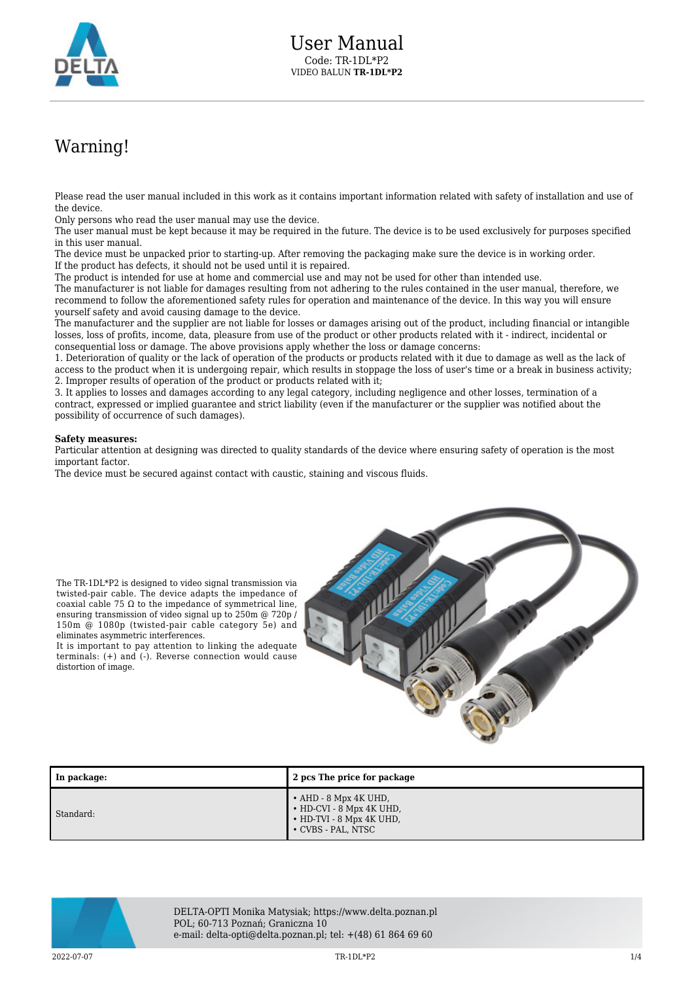

## Warning!

Please read the user manual included in this work as it contains important information related with safety of installation and use of the device.

Only persons who read the user manual may use the device.

The TR-1DL\*P2 is designed to video signal transmission via twisted-pair cable. The device adapts the impedance of coaxial cable 75  $\Omega$  to the impedance of symmetrical line, ensuring transmission of video signal up to 250m @ 720p / 150m @ 1080p (twisted-pair cable category 5e) and

It is important to pay attention to linking the adequate terminals: (+) and (-). Reverse connection would cause

eliminates asymmetric interferences.

distortion of image.

The user manual must be kept because it may be required in the future. The device is to be used exclusively for purposes specified in this user manual.

The device must be unpacked prior to starting-up. After removing the packaging make sure the device is in working order. If the product has defects, it should not be used until it is repaired.

The product is intended for use at home and commercial use and may not be used for other than intended use.

The manufacturer is not liable for damages resulting from not adhering to the rules contained in the user manual, therefore, we recommend to follow the aforementioned safety rules for operation and maintenance of the device. In this way you will ensure yourself safety and avoid causing damage to the device.

The manufacturer and the supplier are not liable for losses or damages arising out of the product, including financial or intangible losses, loss of profits, income, data, pleasure from use of the product or other products related with it - indirect, incidental or consequential loss or damage. The above provisions apply whether the loss or damage concerns:

1. Deterioration of quality or the lack of operation of the products or products related with it due to damage as well as the lack of access to the product when it is undergoing repair, which results in stoppage the loss of user's time or a break in business activity; 2. Improper results of operation of the product or products related with it;

3. It applies to losses and damages according to any legal category, including negligence and other losses, termination of a contract, expressed or implied guarantee and strict liability (even if the manufacturer or the supplier was notified about the possibility of occurrence of such damages).

## **Safety measures:**

Particular attention at designing was directed to quality standards of the device where ensuring safety of operation is the most important factor.

The device must be secured against contact with caustic, staining and viscous fluids.



| In package: | 2 pcs The price for package                                                                               |
|-------------|-----------------------------------------------------------------------------------------------------------|
| Standard:   | $\cdot$ AHD - 8 Mpx 4K UHD,<br>• HD-CVI - 8 Mpx 4K UHD,<br>• HD-TVI - 8 Mpx 4K UHD,<br>• CVBS - PAL, NTSC |



DELTA-OPTI Monika Matysiak; https://www.delta.poznan.pl POL; 60-713 Poznań; Graniczna 10 e-mail: delta-opti@delta.poznan.pl; tel: +(48) 61 864 69 60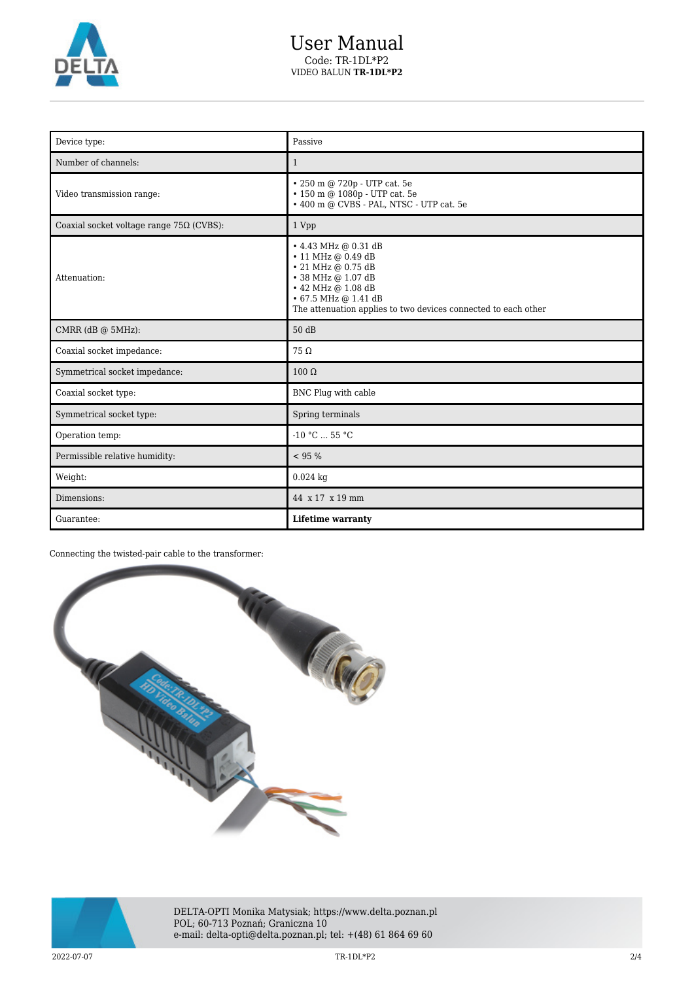

| Device type:                                    | Passive                                                                                                                                                                                                            |
|-------------------------------------------------|--------------------------------------------------------------------------------------------------------------------------------------------------------------------------------------------------------------------|
| Number of channels:                             | $\mathbf{1}$                                                                                                                                                                                                       |
| Video transmission range:                       | • 250 m @ 720p - UTP cat. 5e<br>• 150 m @ 1080p - UTP cat. 5e<br>• 400 m @ CVBS - PAL, NTSC - UTP cat. 5e                                                                                                          |
| Coaxial socket voltage range $75\Omega$ (CVBS): | 1 Vpp                                                                                                                                                                                                              |
| Attenuation:                                    | • 4.43 MHz @ 0.31 dB<br>• 11 MHz @ 0.49 dB<br>• 21 MHz @ 0.75 dB<br>• 38 MHz @ 1.07 dB<br>$\cdot$ 42 MHz @ 1.08 dB<br>$\cdot$ 67.5 MHz @ 1.41 dB<br>The attenuation applies to two devices connected to each other |
| CMRR (dB @ 5MHz):                               | 50 dB                                                                                                                                                                                                              |
| Coaxial socket impedance:                       | $75\Omega$                                                                                                                                                                                                         |
| Symmetrical socket impedance:                   | $100 \Omega$                                                                                                                                                                                                       |
| Coaxial socket type:                            | BNC Plug with cable                                                                                                                                                                                                |
| Symmetrical socket type:                        | Spring terminals                                                                                                                                                                                                   |
| Operation temp:                                 | $-10 °C  55 °C$                                                                                                                                                                                                    |
| Permissible relative humidity:                  | < 95 %                                                                                                                                                                                                             |
| Weight:                                         | $0.024$ kg                                                                                                                                                                                                         |
| Dimensions:                                     | 44 x 17 x 19 mm                                                                                                                                                                                                    |
| Guarantee:                                      | <b>Lifetime warranty</b>                                                                                                                                                                                           |

Connecting the twisted-pair cable to the transformer:





DELTA-OPTI Monika Matysiak; https://www.delta.poznan.pl POL; 60-713 Poznań; Graniczna 10 e-mail: delta-opti@delta.poznan.pl; tel: +(48) 61 864 69 60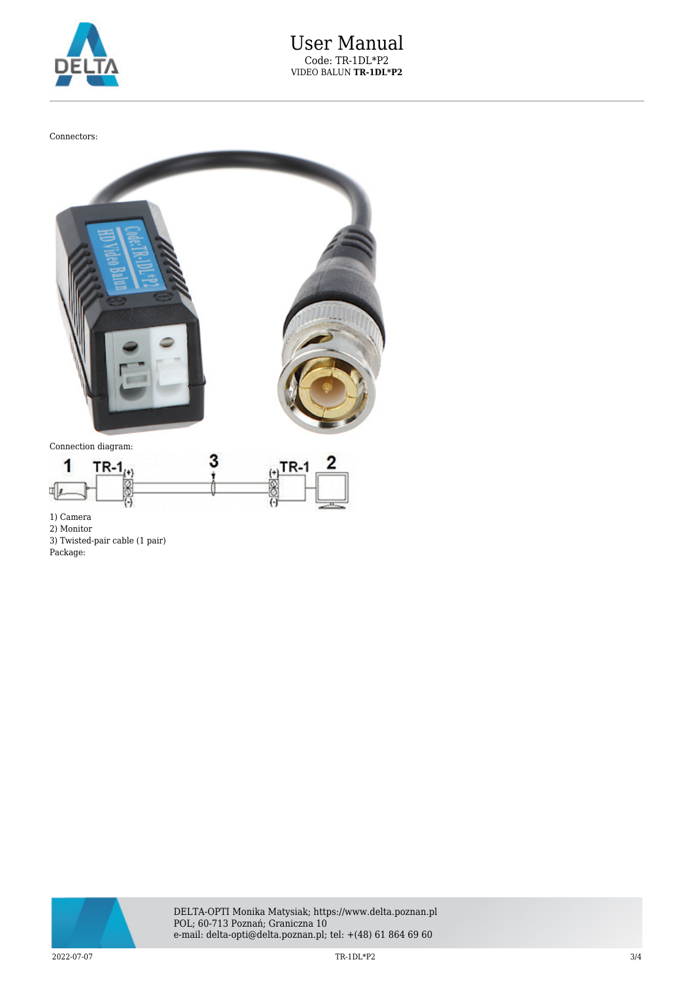

Connectors:



1) Camera

2) Monitor 3) Twisted-pair cable (1 pair)

Package: